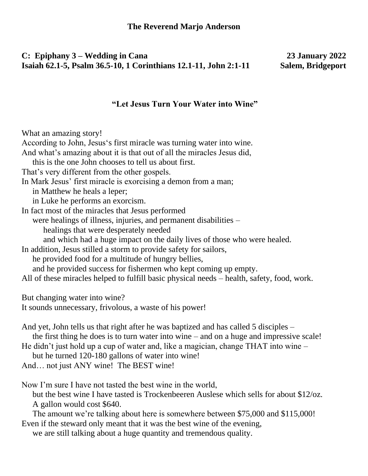## **C: Epiphany 3 – Wedding in Cana 23 January 2022 Isaiah 62.1-5, Psalm 36.5-10, 1 Corinthians 12.1-11, John 2:1-11 Salem, Bridgeport**

## **"Let Jesus Turn Your Water into Wine"**

What an amazing story!

According to John, Jesus's first miracle was turning water into wine.

And what's amazing about it is that out of all the miracles Jesus did,

this is the one John chooses to tell us about first.

That's very different from the other gospels.

In Mark Jesus' first miracle is exorcising a demon from a man;

in Matthew he heals a leper;

in Luke he performs an exorcism.

In fact most of the miracles that Jesus performed

were healings of illness, injuries, and permanent disabilities –

healings that were desperately needed

and which had a huge impact on the daily lives of those who were healed.

In addition, Jesus stilled a storm to provide safety for sailors,

he provided food for a multitude of hungry bellies,

and he provided success for fishermen who kept coming up empty.

All of these miracles helped to fulfill basic physical needs – health, safety, food, work.

But changing water into wine?

It sounds unnecessary, frivolous, a waste of his power!

And yet, John tells us that right after he was baptized and has called 5 disciples – the first thing he does is to turn water into wine – and on a huge and impressive scale!

He didn't just hold up a cup of water and, like a magician, change THAT into wine –

but he turned 120-180 gallons of water into wine!

And… not just ANY wine! The BEST wine!

Now I'm sure I have not tasted the best wine in the world,

but the best wine I have tasted is Trockenbeeren Auslese which sells for about \$12/oz. A gallon would cost \$640.

The amount we're talking about here is somewhere between \$75,000 and \$115,000! Even if the steward only meant that it was the best wine of the evening,

we are still talking about a huge quantity and tremendous quality.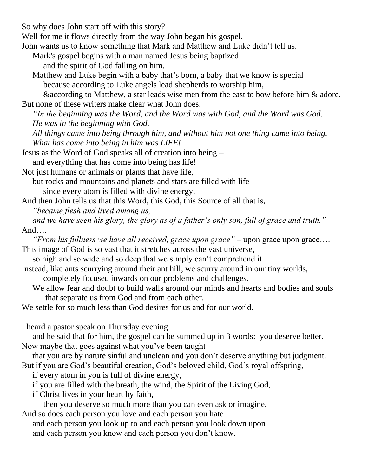So why does John start off with this story?

Well for me it flows directly from the way John began his gospel.

- John wants us to know something that Mark and Matthew and Luke didn't tell us.
	- Mark's gospel begins with a man named Jesus being baptized
		- and the spirit of God falling on him.
	- Matthew and Luke begin with a baby that's born, a baby that we know is special because according to Luke angels lead shepherds to worship him,

&according to Matthew, a star leads wise men from the east to bow before him & adore. But none of these writers make clear what John does.

*"In the beginning was the Word, and the Word was with God, and the Word was God. He was in the beginning with God.* 

- *All things came into being through him, and without him not one thing came into being. What has come into being in him was LIFE!*
- Jesus as the Word of God speaks all of creation into being and everything that has come into being has life!
- Not just humans or animals or plants that have life,

but rocks and mountains and planets and stars are filled with life –

since every atom is filled with divine energy.

And then John tells us that this Word, this God, this Source of all that is,

*"became flesh and lived among us,* 

*and we have seen his glory, the glory as of a father's only son, full of grace and truth."* And….

*"From his fullness we have all received, grace upon grace"* – upon grace upon grace…. This image of God is so vast that it stretches across the vast universe,

so high and so wide and so deep that we simply can't comprehend it.

- Instead, like ants scurrying around their ant hill, we scurry around in our tiny worlds,
	- completely focused inwards on our problems and challenges.
	- We allow fear and doubt to build walls around our minds and hearts and bodies and souls that separate us from God and from each other.

We settle for so much less than God desires for us and for our world.

I heard a pastor speak on Thursday evening

and he said that for him, the gospel can be summed up in 3 words: you deserve better. Now maybe that goes against what you've been taught –

that you are by nature sinful and unclean and you don't deserve anything but judgment.

But if you are God's beautiful creation, God's beloved child, God's royal offspring,

if every atom in you is full of divine energy,

if you are filled with the breath, the wind, the Spirit of the Living God,

if Christ lives in your heart by faith,

then you deserve so much more than you can even ask or imagine.

And so does each person you love and each person you hate

and each person you look up to and each person you look down upon and each person you know and each person you don't know.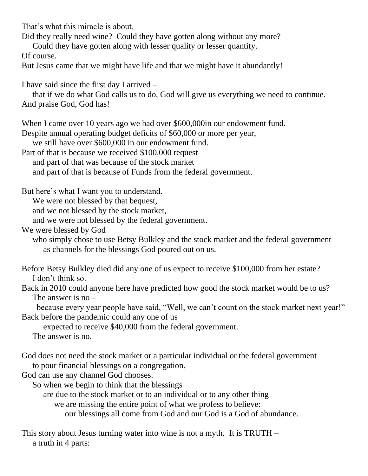That's what this miracle is about.

Did they really need wine? Could they have gotten along without any more?

Could they have gotten along with lesser quality or lesser quantity.

Of course.

But Jesus came that we might have life and that we might have it abundantly!

I have said since the first day I arrived –

that if we do what God calls us to do, God will give us everything we need to continue. And praise God, God has!

When I came over 10 years ago we had over \$600,000 in our endowment fund.

Despite annual operating budget deficits of \$60,000 or more per year,

we still have over \$600,000 in our endowment fund.

Part of that is because we received \$100,000 request

and part of that was because of the stock market

and part of that is because of Funds from the federal government.

But here's what I want you to understand.

We were not blessed by that bequest,

and we not blessed by the stock market,

and we were not blessed by the federal government.

We were blessed by God

who simply chose to use Betsy Bulkley and the stock market and the federal government as channels for the blessings God poured out on us.

Before Betsy Bulkley died did any one of us expect to receive \$100,000 from her estate? I don't think so.

Back in 2010 could anyone here have predicted how good the stock market would be to us? The answer is no –

 because every year people have said, "Well, we can't count on the stock market next year!" Back before the pandemic could any one of us

expected to receive \$40,000 from the federal government.

The answer is no.

God does not need the stock market or a particular individual or the federal government to pour financial blessings on a congregation.

God can use any channel God chooses.

So when we begin to think that the blessings

are due to the stock market or to an individual or to any other thing

we are missing the entire point of what we profess to believe:

our blessings all come from God and our God is a God of abundance.

This story about Jesus turning water into wine is not a myth. It is TRUTH – a truth in 4 parts: